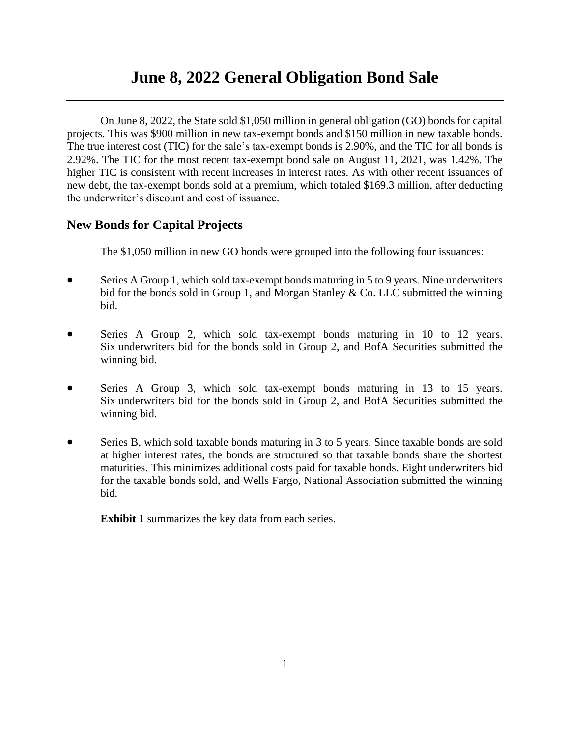# **June 8, 2022 General Obligation Bond Sale**

On June 8, 2022, the State sold \$1,050 million in general obligation (GO) bonds for capital projects. This was \$900 million in new tax-exempt bonds and \$150 million in new taxable bonds. The true interest cost (TIC) for the sale's tax-exempt bonds is 2.90%, and the TIC for all bonds is 2.92%. The TIC for the most recent tax-exempt bond sale on August 11, 2021, was 1.42%. The higher TIC is consistent with recent increases in interest rates. As with other recent issuances of new debt, the tax-exempt bonds sold at a premium, which totaled \$169.3 million, after deducting the underwriter's discount and cost of issuance.

# **New Bonds for Capital Projects**

The \$1,050 million in new GO bonds were grouped into the following four issuances:

- Series A Group 1, which sold tax-exempt bonds maturing in 5 to 9 years. Nine underwriters bid for the bonds sold in Group 1, and Morgan Stanley & Co. LLC submitted the winning bid.
- Series A Group 2, which sold tax-exempt bonds maturing in 10 to 12 years. Six underwriters bid for the bonds sold in Group 2, and BofA Securities submitted the winning bid.
- Series A Group 3, which sold tax-exempt bonds maturing in 13 to 15 years. Six underwriters bid for the bonds sold in Group 2, and BofA Securities submitted the winning bid.
- Series B, which sold taxable bonds maturing in 3 to 5 years. Since taxable bonds are sold at higher interest rates, the bonds are structured so that taxable bonds share the shortest maturities. This minimizes additional costs paid for taxable bonds. Eight underwriters bid for the taxable bonds sold, and Wells Fargo, National Association submitted the winning bid.

**Exhibit 1** summarizes the key data from each series.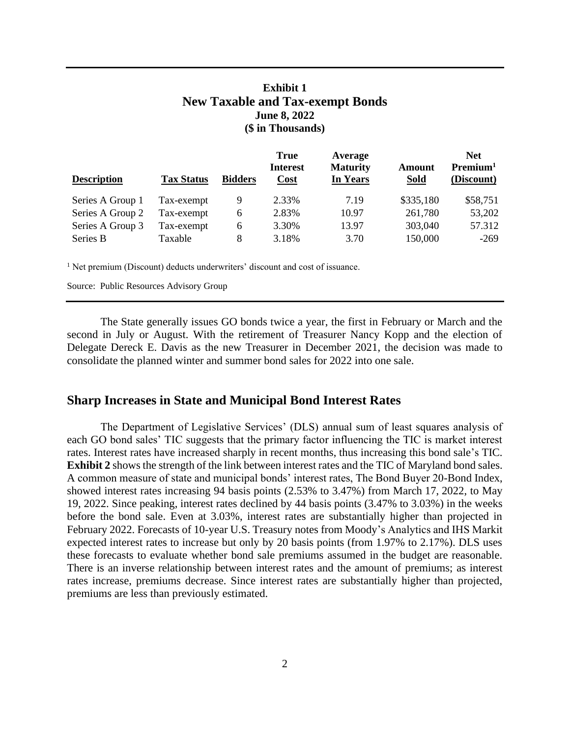# **Exhibit 1 New Taxable and Tax-exempt Bonds June 8, 2022 (\$ in Thousands)**

| <b>Description</b> | <b>Tax Status</b> | <b>Bidders</b> | <b>True</b><br><b>Interest</b><br>Cost | Average<br><b>Maturity</b><br>In Years | <b>Amount</b><br><b>Sold</b> | <b>Net</b><br>Premium <sup>1</sup><br>(Discount) |
|--------------------|-------------------|----------------|----------------------------------------|----------------------------------------|------------------------------|--------------------------------------------------|
| Series A Group 1   | Tax-exempt        | 9              | 2.33%                                  | 7.19                                   | \$335,180                    | \$58,751                                         |
| Series A Group 2   | Tax-exempt        | 6              | 2.83%                                  | 10.97                                  | 261,780                      | 53,202                                           |
| Series A Group 3   | Tax-exempt        | 6              | 3.30%                                  | 13.97                                  | 303,040                      | 57.312                                           |
| Series B           | Taxable           | 8              | 3.18%                                  | 3.70                                   | 150,000                      | $-269$                                           |

<sup>1</sup> Net premium (Discount) deducts underwriters' discount and cost of issuance.

Source: Public Resources Advisory Group

The State generally issues GO bonds twice a year, the first in February or March and the second in July or August. With the retirement of Treasurer Nancy Kopp and the election of Delegate Dereck E. Davis as the new Treasurer in December 2021, the decision was made to consolidate the planned winter and summer bond sales for 2022 into one sale.

#### **Sharp Increases in State and Municipal Bond Interest Rates**

The Department of Legislative Services' (DLS) annual sum of least squares analysis of each GO bond sales' TIC suggests that the primary factor influencing the TIC is market interest rates. Interest rates have increased sharply in recent months, thus increasing this bond sale's TIC. **Exhibit 2** shows the strength of the link between interest rates and the TIC of Maryland bond sales. A common measure of state and municipal bonds' interest rates, The Bond Buyer 20-Bond Index, showed interest rates increasing 94 basis points (2.53% to 3.47%) from March 17, 2022, to May 19, 2022. Since peaking, interest rates declined by 44 basis points (3.47% to 3.03%) in the weeks before the bond sale. Even at 3.03%, interest rates are substantially higher than projected in February 2022. Forecasts of 10-year U.S. Treasury notes from Moody's Analytics and IHS Markit expected interest rates to increase but only by 20 basis points (from 1.97% to 2.17%). DLS uses these forecasts to evaluate whether bond sale premiums assumed in the budget are reasonable. There is an inverse relationship between interest rates and the amount of premiums; as interest rates increase, premiums decrease. Since interest rates are substantially higher than projected, premiums are less than previously estimated.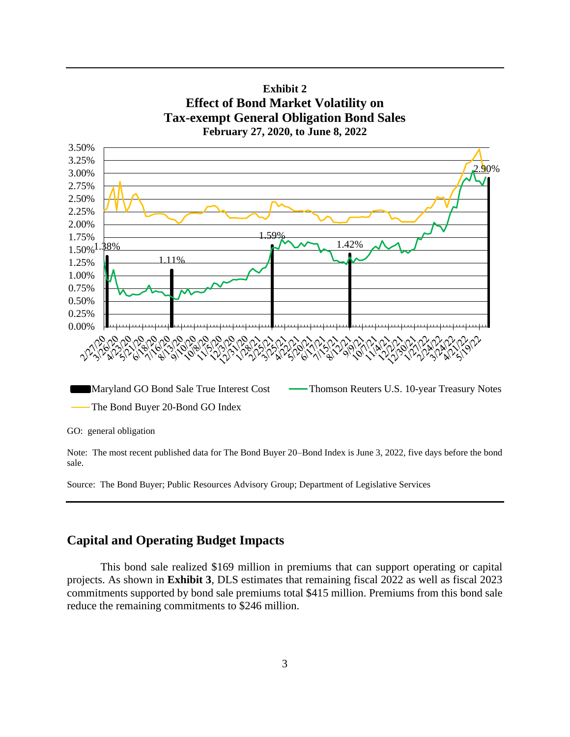

**Exhibit 2**

Note: The most recent published data for The Bond Buyer 20–Bond Index is June 3, 2022, five days before the bond sale.

Source: The Bond Buyer; Public Resources Advisory Group; Department of Legislative Services

# **Capital and Operating Budget Impacts**

This bond sale realized \$169 million in premiums that can support operating or capital projects. As shown in **Exhibit 3**, DLS estimates that remaining fiscal 2022 as well as fiscal 2023 commitments supported by bond sale premiums total \$415 million. Premiums from this bond sale reduce the remaining commitments to \$246 million.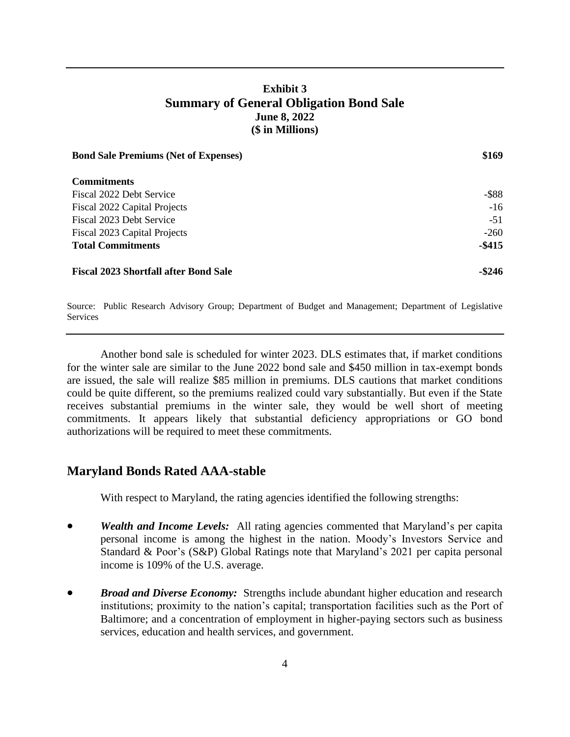# **Exhibit 3 Summary of General Obligation Bond Sale June 8, 2022 (\$ in Millions)**

| <b>Bond Sale Premiums (Net of Expenses)</b>  | \$169     |
|----------------------------------------------|-----------|
| <b>Commitments</b>                           |           |
| Fiscal 2022 Debt Service                     | $-$ \$88  |
| Fiscal 2022 Capital Projects                 | $-16$     |
| Fiscal 2023 Debt Service                     | $-51$     |
| Fiscal 2023 Capital Projects                 | $-260$    |
| <b>Total Commitments</b>                     | $-$ \$415 |
| <b>Fiscal 2023 Shortfall after Bond Sale</b> | $-$ \$246 |

Source: Public Research Advisory Group; Department of Budget and Management; Department of Legislative Services

Another bond sale is scheduled for winter 2023. DLS estimates that, if market conditions for the winter sale are similar to the June 2022 bond sale and \$450 million in tax-exempt bonds are issued, the sale will realize \$85 million in premiums. DLS cautions that market conditions could be quite different, so the premiums realized could vary substantially. But even if the State receives substantial premiums in the winter sale, they would be well short of meeting commitments. It appears likely that substantial deficiency appropriations or GO bond authorizations will be required to meet these commitments.

### **Maryland Bonds Rated AAA-stable**

With respect to Maryland, the rating agencies identified the following strengths:

- *Wealth and Income Levels:* All rating agencies commented that Maryland's per capita personal income is among the highest in the nation. Moody's Investors Service and Standard & Poor's (S&P) Global Ratings note that Maryland's 2021 per capita personal income is 109% of the U.S. average.
- *Broad and Diverse Economy:* Strengths include abundant higher education and research institutions; proximity to the nation's capital; transportation facilities such as the Port of Baltimore; and a concentration of employment in higher-paying sectors such as business services, education and health services, and government.